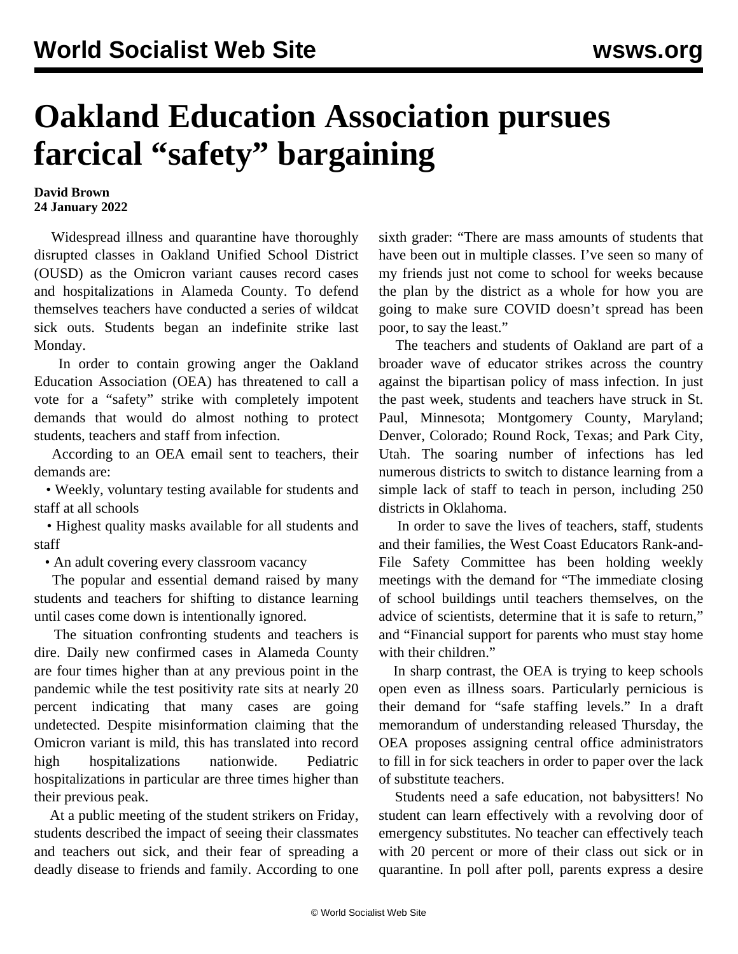## **Oakland Education Association pursues farcical "safety" bargaining**

## **David Brown 24 January 2022**

 Widespread illness and quarantine have thoroughly disrupted classes in Oakland Unified School District (OUSD) as the Omicron variant causes record cases and hospitalizations in Alameda County. To defend themselves teachers have conducted a series of wildcat sick outs. Students began an indefinite strike last Monday.

 In order to contain growing anger the Oakland Education Association (OEA) has threatened to call a vote for a "safety" strike with completely impotent demands that would do almost nothing to protect students, teachers and staff from infection.

 According to an OEA email sent to teachers, their demands are:

 • Weekly, voluntary testing available for students and staff at all schools

 • Highest quality masks available for all students and staff

• An adult covering every classroom vacancy

 The popular and essential demand raised by many students and teachers for shifting to distance learning until cases come down is intentionally ignored.

 The situation confronting students and teachers is dire. Daily new confirmed cases in Alameda County are four times higher than at any previous point in the pandemic while the test positivity rate sits at nearly 20 percent indicating that many cases are going undetected. Despite misinformation claiming that the Omicron variant is mild, this has translated into record high hospitalizations nationwide. Pediatric hospitalizations in particular are three times higher than their previous peak.

 At a public meeting of the student strikers on Friday, [students described](/en/articles/2021/03/30/oakl-m30.html) the impact of seeing their classmates and teachers out sick, and their fear of spreading a deadly disease to friends and family. According to one sixth grader: "There are mass amounts of students that have been out in multiple classes. I've seen so many of my friends just not come to school for weeks because the plan by the district as a whole for how you are going to make sure COVID doesn't spread has been poor, to say the least."

 The teachers and students of Oakland are part of a broader wave of educator strikes across the country against the bipartisan policy of mass infection. In just the past week, students and teachers have struck in St. Paul, Minnesota; Montgomery County, Maryland; Denver, Colorado; Round Rock, Texas; and Park City, Utah. The soaring number of infections has led numerous districts to switch to distance learning from a simple lack of staff to teach in person, including 250 districts in Oklahoma.

 In order to save the lives of teachers, staff, students and their families, the [West Coast Educators Rank-and-](/en/articles/2022/01/12/5d16-j12.html)[File Safety Committee](/en/articles/2022/01/12/5d16-j12.html) has been holding weekly meetings with the demand for "The immediate closing of school buildings until teachers themselves, on the advice of scientists, determine that it is safe to return," and "Financial support for parents who must stay home with their children."

 In sharp contrast, the OEA is trying to keep schools open even as illness soars. Particularly pernicious is their demand for "safe staffing levels." In a draft memorandum of understanding released Thursday, the OEA proposes assigning central office administrators to fill in for sick teachers in order to paper over the lack of substitute teachers.

 Students need a safe education, not babysitters! No student can learn effectively with a revolving door of emergency substitutes. No teacher can effectively teach with 20 percent or more of their class out sick or in quarantine. In poll after poll, parents express a desire